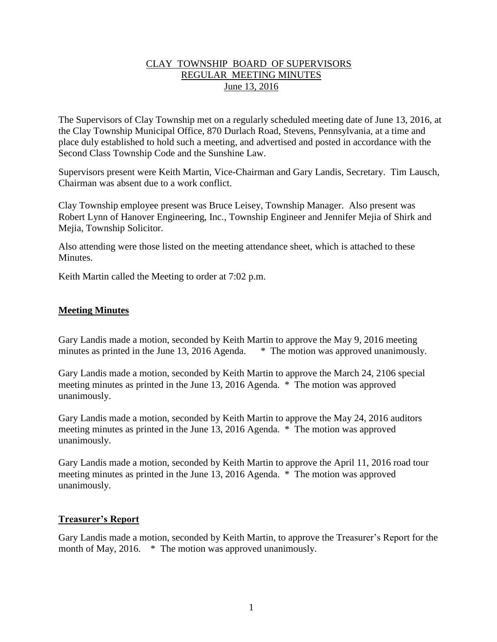# CLAY TOWNSHIP BOARD OF SUPERVISORS REGULAR MEETING MINUTES June 13, 2016

The Supervisors of Clay Township met on a regularly scheduled meeting date of June 13, 2016, at the Clay Township Municipal Office, 870 Durlach Road, Stevens, Pennsylvania, at a time and place duly established to hold such a meeting, and advertised and posted in accordance with the Second Class Township Code and the Sunshine Law.

Supervisors present were Keith Martin, Vice-Chairman and Gary Landis, Secretary. Tim Lausch, Chairman was absent due to a work conflict.

Clay Township employee present was Bruce Leisey, Township Manager. Also present was Robert Lynn of Hanover Engineering, Inc., Township Engineer and Jennifer Mejia of Shirk and Mejia, Township Solicitor.

Also attending were those listed on the meeting attendance sheet, which is attached to these **Minutes** 

Keith Martin called the Meeting to order at 7:02 p.m.

# **Meeting Minutes**

Gary Landis made a motion, seconded by Keith Martin to approve the May 9, 2016 meeting minutes as printed in the June 13, 2016 Agenda. \* The motion was approved unanimously.

Gary Landis made a motion, seconded by Keith Martin to approve the March 24, 2106 special meeting minutes as printed in the June 13, 2016 Agenda. \* The motion was approved unanimously.

Gary Landis made a motion, seconded by Keith Martin to approve the May 24, 2016 auditors meeting minutes as printed in the June 13, 2016 Agenda. \* The motion was approved unanimously.

Gary Landis made a motion, seconded by Keith Martin to approve the April 11, 2016 road tour meeting minutes as printed in the June 13, 2016 Agenda. \* The motion was approved unanimously.

## **Treasurer's Report**

Gary Landis made a motion, seconded by Keith Martin, to approve the Treasurer's Report for the month of May, 2016. \* The motion was approved unanimously.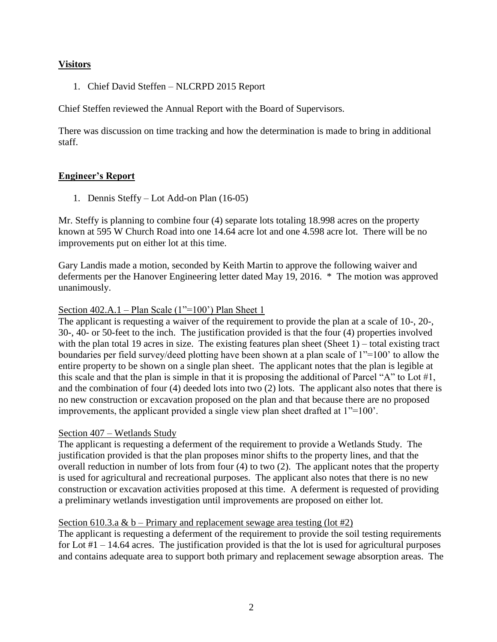# **Visitors**

1. Chief David Steffen – NLCRPD 2015 Report

Chief Steffen reviewed the Annual Report with the Board of Supervisors.

There was discussion on time tracking and how the determination is made to bring in additional staff.

# **Engineer's Report**

1. Dennis Steffy – Lot Add-on Plan (16-05)

Mr. Steffy is planning to combine four (4) separate lots totaling 18.998 acres on the property known at 595 W Church Road into one 14.64 acre lot and one 4.598 acre lot. There will be no improvements put on either lot at this time.

Gary Landis made a motion, seconded by Keith Martin to approve the following waiver and deferments per the Hanover Engineering letter dated May 19, 2016. \* The motion was approved unanimously.

# Section 402.A.1 – Plan Scale (1"=100") Plan Sheet 1

The applicant is requesting a waiver of the requirement to provide the plan at a scale of 10-, 20-, 30-, 40- or 50-feet to the inch. The justification provided is that the four (4) properties involved with the plan total 19 acres in size. The existing features plan sheet (Sheet 1) – total existing tract boundaries per field survey/deed plotting have been shown at a plan scale of 1"=100' to allow the entire property to be shown on a single plan sheet. The applicant notes that the plan is legible at this scale and that the plan is simple in that it is proposing the additional of Parcel "A" to Lot #1, and the combination of four (4) deeded lots into two (2) lots. The applicant also notes that there is no new construction or excavation proposed on the plan and that because there are no proposed improvements, the applicant provided a single view plan sheet drafted at 1"=100'.

## Section 407 – Wetlands Study

The applicant is requesting a deferment of the requirement to provide a Wetlands Study. The justification provided is that the plan proposes minor shifts to the property lines, and that the overall reduction in number of lots from four (4) to two (2). The applicant notes that the property is used for agricultural and recreational purposes. The applicant also notes that there is no new construction or excavation activities proposed at this time. A deferment is requested of providing a preliminary wetlands investigation until improvements are proposed on either lot.

## Section 610.3.a & b – Primary and replacement sewage area testing (lot #2)

The applicant is requesting a deferment of the requirement to provide the soil testing requirements for Lot  $#1 - 14.64$  acres. The justification provided is that the lot is used for agricultural purposes and contains adequate area to support both primary and replacement sewage absorption areas. The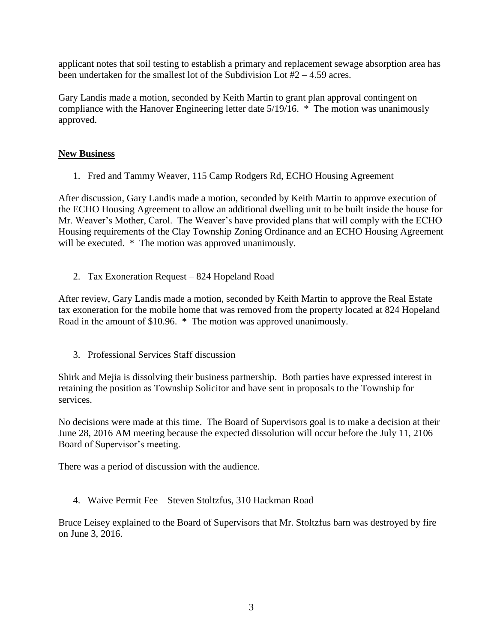applicant notes that soil testing to establish a primary and replacement sewage absorption area has been undertaken for the smallest lot of the Subdivision Lot  $#2 - 4.59$  acres.

Gary Landis made a motion, seconded by Keith Martin to grant plan approval contingent on compliance with the Hanover Engineering letter date 5/19/16. \* The motion was unanimously approved.

# **New Business**

1. Fred and Tammy Weaver, 115 Camp Rodgers Rd, ECHO Housing Agreement

After discussion, Gary Landis made a motion, seconded by Keith Martin to approve execution of the ECHO Housing Agreement to allow an additional dwelling unit to be built inside the house for Mr. Weaver's Mother, Carol. The Weaver's have provided plans that will comply with the ECHO Housing requirements of the Clay Township Zoning Ordinance and an ECHO Housing Agreement will be executed.  $*$  The motion was approved unanimously.

2. Tax Exoneration Request – 824 Hopeland Road

After review, Gary Landis made a motion, seconded by Keith Martin to approve the Real Estate tax exoneration for the mobile home that was removed from the property located at 824 Hopeland Road in the amount of \$10.96. \* The motion was approved unanimously.

3. Professional Services Staff discussion

Shirk and Mejia is dissolving their business partnership. Both parties have expressed interest in retaining the position as Township Solicitor and have sent in proposals to the Township for services.

No decisions were made at this time. The Board of Supervisors goal is to make a decision at their June 28, 2016 AM meeting because the expected dissolution will occur before the July 11, 2106 Board of Supervisor's meeting.

There was a period of discussion with the audience.

4. Waive Permit Fee – Steven Stoltzfus, 310 Hackman Road

Bruce Leisey explained to the Board of Supervisors that Mr. Stoltzfus barn was destroyed by fire on June 3, 2016.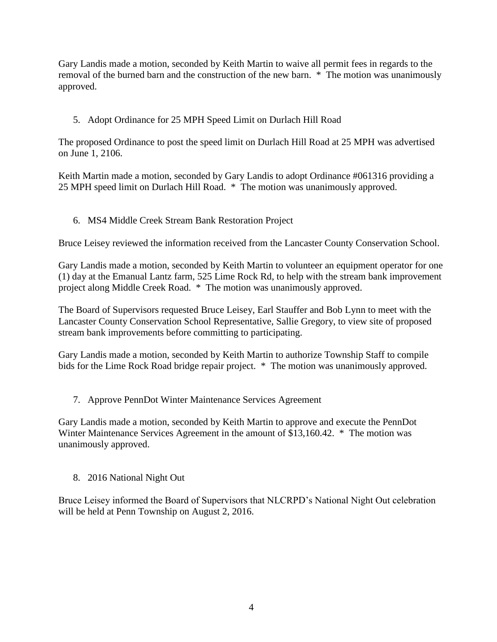Gary Landis made a motion, seconded by Keith Martin to waive all permit fees in regards to the removal of the burned barn and the construction of the new barn. \* The motion was unanimously approved.

# 5. Adopt Ordinance for 25 MPH Speed Limit on Durlach Hill Road

The proposed Ordinance to post the speed limit on Durlach Hill Road at 25 MPH was advertised on June 1, 2106.

Keith Martin made a motion, seconded by Gary Landis to adopt Ordinance #061316 providing a 25 MPH speed limit on Durlach Hill Road. \* The motion was unanimously approved.

# 6. MS4 Middle Creek Stream Bank Restoration Project

Bruce Leisey reviewed the information received from the Lancaster County Conservation School.

Gary Landis made a motion, seconded by Keith Martin to volunteer an equipment operator for one (1) day at the Emanual Lantz farm, 525 Lime Rock Rd, to help with the stream bank improvement project along Middle Creek Road. \* The motion was unanimously approved.

The Board of Supervisors requested Bruce Leisey, Earl Stauffer and Bob Lynn to meet with the Lancaster County Conservation School Representative, Sallie Gregory, to view site of proposed stream bank improvements before committing to participating.

Gary Landis made a motion, seconded by Keith Martin to authorize Township Staff to compile bids for the Lime Rock Road bridge repair project. \* The motion was unanimously approved.

7. Approve PennDot Winter Maintenance Services Agreement

Gary Landis made a motion, seconded by Keith Martin to approve and execute the PennDot Winter Maintenance Services Agreement in the amount of \$13,160.42. \* The motion was unanimously approved.

8. 2016 National Night Out

Bruce Leisey informed the Board of Supervisors that NLCRPD's National Night Out celebration will be held at Penn Township on August 2, 2016.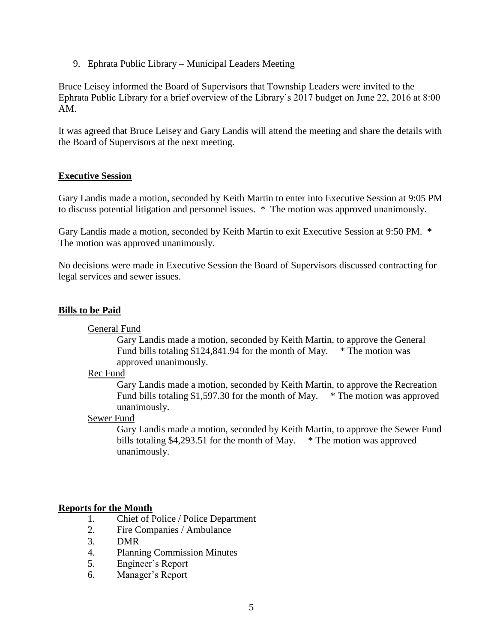9. Ephrata Public Library – Municipal Leaders Meeting

Bruce Leisey informed the Board of Supervisors that Township Leaders were invited to the Ephrata Public Library for a brief overview of the Library's 2017 budget on June 22, 2016 at 8:00 AM.

It was agreed that Bruce Leisey and Gary Landis will attend the meeting and share the details with the Board of Supervisors at the next meeting.

## **Executive Session**

Gary Landis made a motion, seconded by Keith Martin to enter into Executive Session at 9:05 PM to discuss potential litigation and personnel issues. \* The motion was approved unanimously.

Gary Landis made a motion, seconded by Keith Martin to exit Executive Session at 9:50 PM. \* The motion was approved unanimously.

No decisions were made in Executive Session the Board of Supervisors discussed contracting for legal services and sewer issues.

## **Bills to be Paid**

#### General Fund

Gary Landis made a motion, seconded by Keith Martin, to approve the General Fund bills totaling \$124,841.94 for the month of May. \* The motion was approved unanimously.

#### Rec Fund

Gary Landis made a motion, seconded by Keith Martin, to approve the Recreation Fund bills totaling \$1,597.30 for the month of May. \* The motion was approved unanimously.

#### Sewer Fund

Gary Landis made a motion, seconded by Keith Martin, to approve the Sewer Fund bills totaling \$4,293.51 for the month of May. \* The motion was approved unanimously.

## **Reports for the Month**

- 1. Chief of Police / Police Department
- 2. Fire Companies / Ambulance
- 3. DMR
- 4. Planning Commission Minutes
- 5. Engineer's Report
- 6. Manager's Report